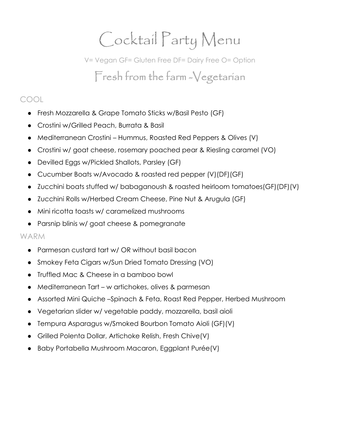# Cocktail Party Menu

V= Vegan GF= Gluten Free DF= Dairy Free O= Option Fresh from the farm -Vegetarian

### COOL

- Fresh Mozzarella & Grape Tomato Sticks w/Basil Pesto (GF)
- Crostini w/Grilled Peach, Burrata & Basil
- Mediterranean Crostini Hummus, Roasted Red Peppers & Olives (V)
- Crostini w/ goat cheese, rosemary poached pear & Riesling caramel (VO)
- Devilled Eggs w/Pickled Shallots, Parsley (GF)
- Cucumber Boats w/Avocado & roasted red pepper (V)(DF)(GF)
- Zucchini boats stuffed w/ babaganoush & roasted heirloom tomatoes(GF)(DF)(V)
- Zucchini Rolls w/Herbed Cream Cheese, Pine Nut & Arugula (GF)
- Mini ricotta toasts w/ caramelized mushrooms
- Parsnip blinis w/ goat cheese & pomegranate

### WARM

- Parmesan custard tart w/ OR without basil bacon
- Smokey Feta Cigars w/Sun Dried Tomato Dressing (VO)
- Truffled Mac & Cheese in a bamboo bowl
- Mediterranean Tart w artichokes, olives & parmesan
- Assorted Mini Quiche –Spinach & Feta, Roast Red Pepper, Herbed Mushroom
- Vegetarian slider w/ vegetable paddy, mozzarella, basil aioli
- Tempura Asparagus w/Smoked Bourbon Tomato Aioli (GF)(V)
- Grilled Polenta Dollar, Artichoke Relish, Fresh Chive(V)
- Baby Portabella Mushroom Macaron, Eggplant Purée(V)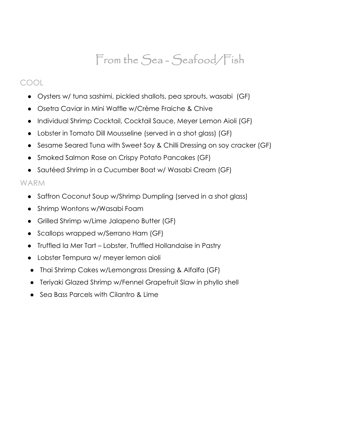### From the Sea-Seafood/Fish

### COOL

- Oysters w/ tuna sashimi, pickled shallots, pea sprouts, wasabi (GF)
- Osetra Caviar in Mini Waffle w/Crème Fraiche & Chive
- Individual Shrimp Cocktail, Cocktail Sauce, Meyer Lemon Aioli (GF)
- Lobster in Tomato Dill Mousseline (served in a shot glass) (GF)
- Sesame Seared Tuna with Sweet Soy & Chilli Dressing on soy cracker (GF)
- Smoked Salmon Rose on Crispy Potato Pancakes (GF)
- Sautéed Shrimp in a Cucumber Boat w/ Wasabi Cream (GF)

### WARM

- Saffron Coconut Soup w/Shrimp Dumpling (served in a shot glass)
- Shrimp Wontons w/Wasabi Foam
- Grilled Shrimp w/Lime Jalapeno Butter (GF)
- Scallops wrapped w/Serrano Ham (GF)
- Truffled la Mer Tart Lobster, Truffled Hollandaise in Pastry
- Lobster Tempura w/ meyer lemon aioli
- Thai Shrimp Cakes w/Lemongrass Dressing & Alfalfa (GF)
- Teriyaki Glazed Shrimp w/Fennel Grapefruit Slaw in phyllo shell
- Sea Bass Parcels with Cilantro & Lime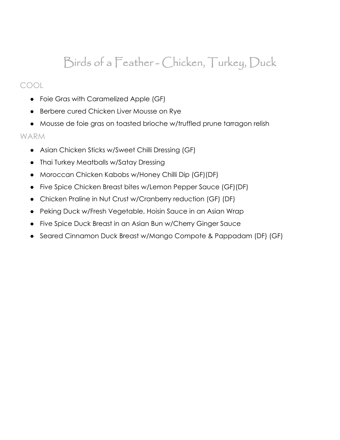### Birds of a Feather - Chicken, Turkey, Duck

### COOL

- Foie Gras with Caramelized Apple (GF)
- Berbere cured Chicken Liver Mousse on Rye
- Mousse de foie gras on toasted brioche w/truffled prune tarragon relish

#### WARM

- Asian Chicken Sticks w/Sweet Chilli Dressing (GF)
- Thai Turkey Meatballs w/Satay Dressing
- Moroccan Chicken Kabobs w/Honey Chilli Dip (GF)(DF)
- Five Spice Chicken Breast bites w/Lemon Pepper Sauce (GF)(DF)
- Chicken Praline in Nut Crust w/Cranberry reduction (GF) (DF)
- Peking Duck w/Fresh Vegetable, Hoisin Sauce in an Asian Wrap
- Five Spice Duck Breast in an Asian Bun w/Cherry Ginger Sauce
- Seared Cinnamon Duck Breast w/Mango Compote & Pappadam (DF) (GF)